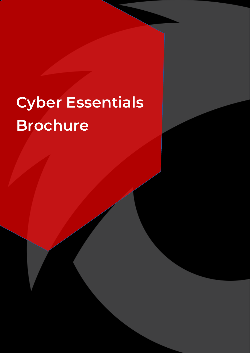## **Cyber Essentials Brochure**